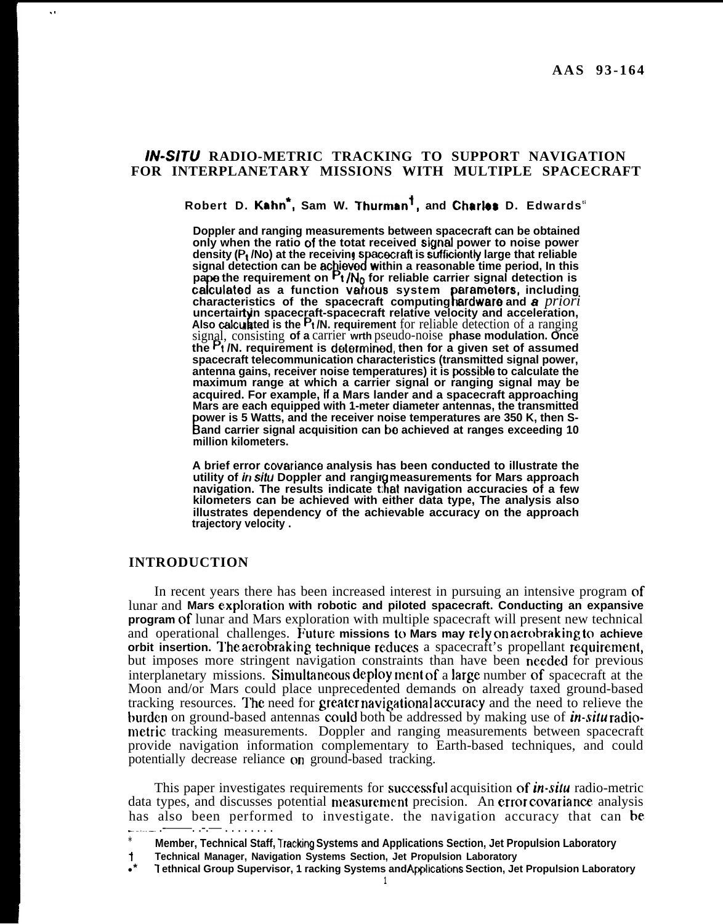### **/N-S/TU RADIO-METRIC TRACKING TO SUPPORT NAVIGATION FOR INTERPLANETARY MISSIONS WITH MULTIPLE SPACECRAFT**

**Robert D. Kahn\*, Sam W. Thurms+n'1, and Chartes D. Edwardsti**

**Doppler and ranging measurements between spacecraft can be obtained only when the ratio of the totat received sigrrat power to noise power density (Pt /No) at the receivings** iatre<br>pspa<br>ed w **cecraft is sufficiently large that reliable** signal detection can be achieved within a reasonable time period, In this **pape the requirement on Pt/N<sub>Q</sub> for reliable carrier signal detection is calculated as a function various system parameters, including K arameters, including characteristics of the spacecraft computing ardware and a** *priori !'* uncertairtyin spacecraft-spacecraft relative velocity and acceleration, Also calculated is the <sup>P<sub>t</sub>/N. requirement for reliable detection of a ranging</sup> signal, consisting **of a** carrier **wrth** pseudo-noise **phase modulation. Once** the  $P_1$  /N. requirement is determined, then for a given set of assumed **spacecraft telecommunication characteristics (transmitted signal power, antenna gains, receiver noise temperatures) it is possibte to calculate the maximum range at which a carrier signal or ranging signal may be acquired. For example, tf a Mars lander and a spacecraft approaching Mars are each equipped with 1-meter diameter antennas, the transmitted B and carrier signal acquisition can bo achieved at ranges exceeding 10 ower is 5 Watts, and the receiver noise temperatures are 350 K, then Smillion kilometers.**

**A brief error covariance analysis has been conducted to illustrate the** utility of in situ Doppler and ranging measurements for Mars approach **navigation. The results indicate that navigation accuracies of a few kilometers can be achieved with either data type, The analysis also illustrates dependency of the achievable accuracy on the approach trajectory velocity .**

#### **INTRODUCTION**

.,

In recent years there has been increased interest in pursuing an intensive program of lunar and Mars exploration with robotic and piloted spacecraft. Conducting an expansive **program** of lunar and Mars exploration with multiple spacecraft will present new technical and operational challenges. Future missions to Mars may rely on aerobraking to achieve **orbit insertion. The aerobraking technique reduces** a spacecraft's propellant requirement, but imposes more stringent navigation constraints than have been needed for previous interplanetary missions. Simultaneous deployment of a large number of spacecraft at the Moon and/or Mars could place unprecedented demands on already taxed ground-based tracking resources. The need for greater navigational accuracy and the need to relieve the burden on ground-based antennas could both be addressed by making use of in-situ radiometric tracking measurements. Doppler and ranging measurements between spacecraft provide navigation information complementary to Earth-based techniques, and could potentially decrease reliance on ground-based tracking.

This paper investigates requirements for successful acquisition of *in-sdu* radio-metric data types, and discusses potential measurement precision. An error covariance analysis has also been performed to investigate. the navigation accuracy that can be

<sup>\*</sup> Member, Technical Staff, Tracking Systems and Applications Section, Jet Propulsion Laboratory

**i Technical Manager, Navigation Systems Section, Jet Propulsion Laboratory**

<sup>●</sup> **\* T ethnical Group Supervisor, 1 racking Systems and Applicaticms Section, Jet Propulsion Laboratory**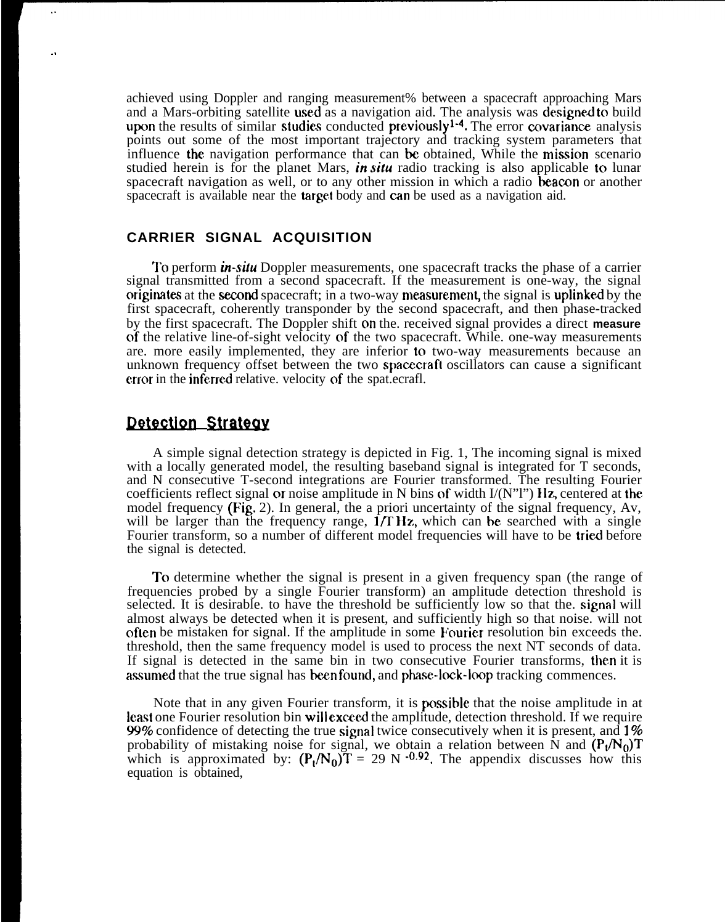achieved using Doppler and ranging measurement% between a spacecraft approaching Mars and a Mars-orbiting satellite used as a navigation aid. The analysis was designed to build upon the results of similar studies conducted previously<sup>1-4</sup>. The error covariance analysis points out some of the most important trajectory and tracking system parameters that influence the navigation performance that can be obtained, While the mision scenario studied herein is for the planet Mars, in *situ* radio tracking is also applicable to lunar spacecraft navigation as well, or to any other mission in which a radio **beacon** or another spacecraft is available near the target body and can be used as a navigation aid.

### **CARRIER SIGNAL ACQUISITION**

To perform *in-situ* Doppler measurements, one spacecraft tracks the phase of a carrier signal transmitted from a second spacecraft. If the measurement is one-way, the signal originates at the second spacecraft; in a two-way measurement, the signal is uplinked by the first spacecraft, coherently transponder by the second spacecraft, and then phase-tracked by the first spacecraft. The Doppler shift on the. received signal provides a direct **measure** of the relative line-of-sight velocity of the two spacecraft. While. one-way measurements are. more easily implemented, they are inferior to two-way measurements because an unknown frequency offset between the two **spacecraft** oscillators can cause a significant error in the inferred relative. velocity of the spat.ecrafl.

# **Detection Strategy**

. .

A simple signal detection strategy is depicted in Fig. 1, The incoming signal is mixed with a locally generated model, the resulting baseband signal is integrated for T seconds, and N consecutive T-second integrations are Fourier transformed. The resulting Fourier coefficients reflect signal or noise amplitude in N bins of width  $I/(N"I")$  Hz, centered at the model frequency (Fig. 2). In general, the a priori uncertainty of the signal frequency, Av, will be larger than the frequency range,  $1/T$  Hz, which can be searched with a single Fourier transform, so a number of different model frequencies will have to be tried before the signal is detected.

To determine whether the signal is present in a given frequency span (the range of frequencies probed by a single Fourier transform) an amplitude detection threshold is selected. It is desirable, to have the threshold be sufficiently low so that the, signal will almost always be detected when it is present, and sufficiently high so that noise. will not often be mistaken for signal. If the amplitude in some Fourier resolution bin exceeds the. threshold, then the same frequency model is used to process the next NT seconds of data. If signal is detected in the same bin in two consecutive Fourier transforms, then it is assumed that the true signal has been found, and phase-lock-loop tracking commences.

Note that in any given Fourier transform, it is possible that the noise amplitude in at least one Fourier resolution bin will exceed the amplitude, detection threshold. If we require 99% confidence of detecting the true signal twice consecutively when it is present, and 1% probability of mistaking noise for signal, we obtain a relation between N and  $(P_1/N_0)$ T which is approximated by:  $(P_t/N_0)T = 29 \text{ N} \cdot 0.92$ . The appendix discusses how this equation is obtained,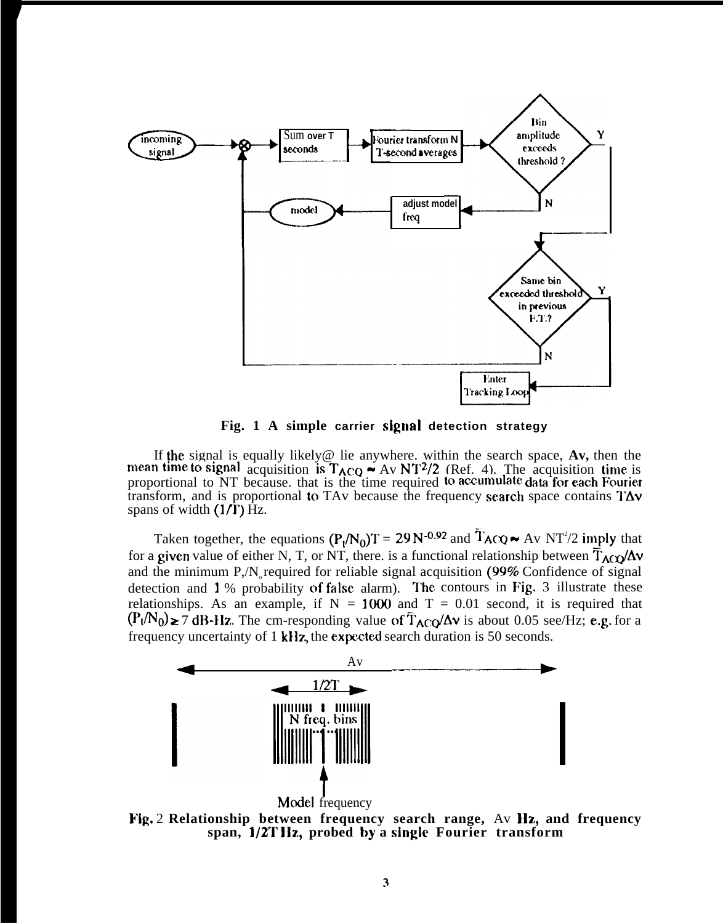

Fig. 1 A simple carrier signal detection strategy

If the signal is equally likely@ lie anywhere. within the search space, **Av,** then the mean time to signal acquisition is  $T_{ACQ} \sim Av NT^2/2$  (Ref. 4). The acquisition time is proportional to NT because. that is the time required to accumulate data for each Fourier transform, and is proportional to TAv because the frequency search space contains  $T\Delta v$ spans of width  $(1/\overline{I})$  Hz.

Taken together, the equations  $(P_1/N_0)T = 29 N^{-0.92}$  and  $T_{ACQ} \sim Av NT^2/2$  imply that for a given value of either N, T, or NT, there. is a functional relationship between  $\overline{T}_{A}(\chi)$ and the minimum  $P/N$ <sub>s</sub> required for reliable signal acquisition (99% Confidence of signal detection and  $1\%$  probability of false alarm). The contours in Fig. 3 illustrate these relationships. As an example, if  $N = 1000$  and  $T = 0.01$  second, it is required that  $(P_t/N_0) \ge 7$  dB-Hz. The cm-responding value of  $\overline{T}_{ACQ}/\Delta v$  is about 0.05 see/Hz; e.g. for a frequency uncertainty of 1 kHz, the expected search duration is 50 seconds.



Fig. 2 **Relationship between frequency search range,** Av Hz,, **and frequency span, l/2T llz, probed by a single Fourier transform**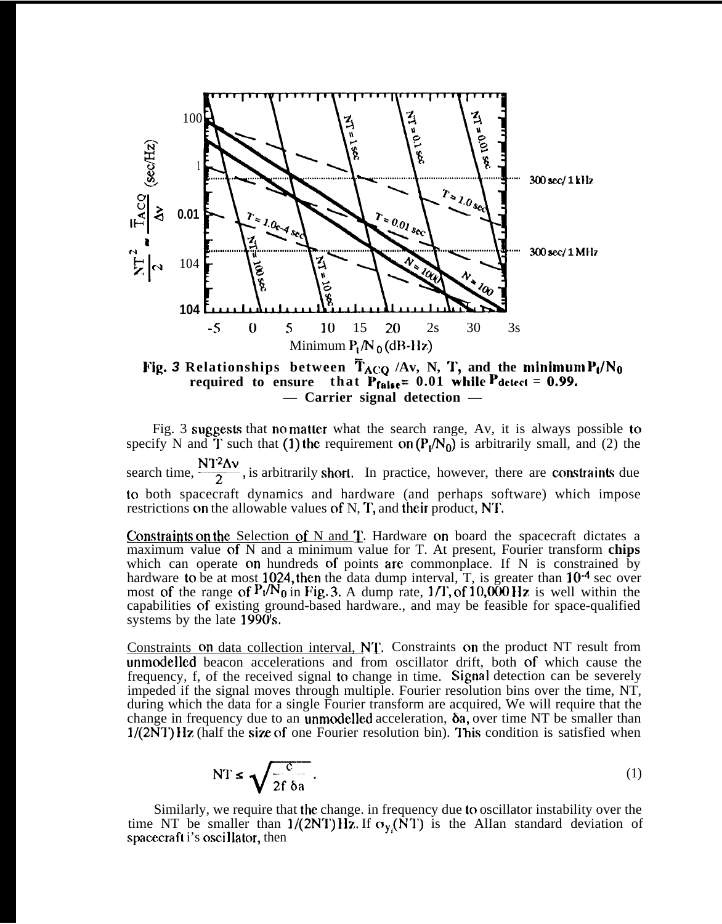

 $required$  to ensure that  $P_{false}= 0.01$  while  $P_{detect} = 0.99$ . **— Carrier signal detection —**

Fig. 3 suggests that no matter what the search range, Av, it is always possible to specify N and T such that (1) the requirement on  $(P_1/N_0)$  is arbitrarily small, and (2) the search time,  $\frac{N T^2 \Delta v}{2}$ , is arbitrarily short. In practice, however, there are constraints due to both spacecraft dynamics and hardware (and perhaps software) which impose restrictions on the allowable values of  $N$ ,  $T$ , and their product, N $T$ .

Constraints on the Selection of N and  $T$ . Hardware on board the spacecraft dictates a maximum value of N and a minimum value for T. At present, Fourier transform **chips** which can operate on hundreds of points are commonplace. If N is constrained by hardware to be at most 1024, then the data dump interval, T, is greater than  $10^{-4}$  sec over most of the range of  $P_t/N_0$  in Fig. 3. A dump rate, 1/T, of 10,000 Hz is well within the capabilities of existing ground-based hardware., and may be feasible for space-qualified systems by the late 1990's.

Constraints on data collection interval, NT. Constraints on the product NT result from unmodellcd beacon accelerations and from oscillator drift, both of which cause the frequency, f, of the received signal to change in time. Signal detection can be severely impeded if the signal moves through multiple. Fourier resolution bins over the time, NT, during which the data for a single Fourier transform are acquired, We will require that the change in frequency due to an **unmodelled** acceleration,  $\delta a$ , over time NT be smaller than  $1/(2NT)$  IIz (half the size of one Fourier resolution bin). This condition is satisfied when

$$
NT \leq \sqrt{\frac{c}{2f \delta a}}.
$$
 (1)

Similarly, we require that the change. in frequency due to oscillator instability over the time NT be smaller than  $1/(2NT)$  Hz. If  $\sigma_{y}(\overline{NT})$  is the AlIan standard deviation of spacecraft i's oscillator, then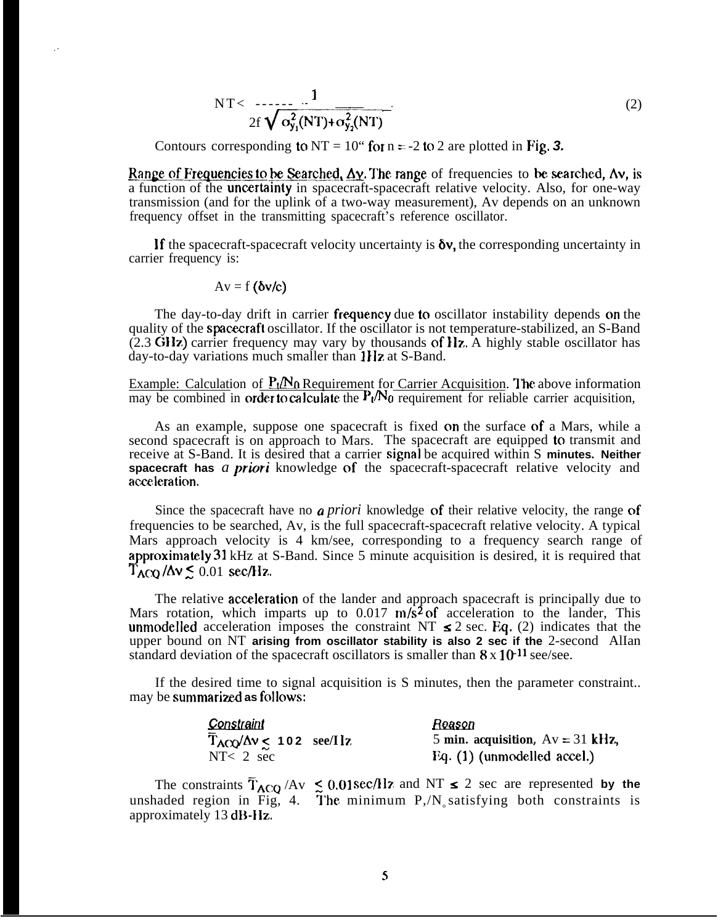$$
NT < \frac{1}{2f\sqrt{\sigma_{y_1}^2 (NT) + \sigma_{y_2}^2 (NT)}}
$$
 (2)

Contours corresponding to  $NT = 10$ " for  $n = -2$  to 2 are plotted in Fig. 3.

**Range of Frequencies to be Searched,**  $\Delta y$ **. The range of frequencies to be searched, Av, is** a function of the **uncertainty** in spacecraft-spacecraft relative velocity. Also, for one-way transmission (and for the uplink of a two-way measurement), Av depends on an unknown frequency offset in the transmitting spacecraft's reference oscillator.

If the spacecraft-spacecraft velocity uncertainty is  $\delta v$ , the corresponding uncertainty in carrier frequency is:

$$
Av = f(\delta v/c)
$$

,.

The day-to-day drift in carrier frequency due to oscillator instability depends on the quality of the **spacecraft** oscillator. If the oscillator is not temperature-stabilized, an S-Band (2.3 Gllz) carrier frequency may vary by thousands of llz, A highly stable oscillator has day-to-day variations much smaller than  $1$ IIz at S-Band.

Example: Calculation of  $P_1/N_0$  Requirement for Carrier Acquisition. The above information may be combined in order to calculate the  $P_t/N_0$  requirement for reliable carrier acquisition,

As an example, suppose one spacecraft is fixed on the surface of a Mars, while a second spacecraft is on approach to Mars. The spacecraft are equipped to transmit and receive at S-Band. It is desired that a carrier signal be acquired within S **minutes. Neither spacecraft has** *a priori* knowledge of the spacecraft-spacecraft relative velocity and acceleration.

Since the spacecraft have no *a priori* knowledge of their relative velocity, the range of frequencies to be searched, Av, is the full spacecraft-spacecraft relative velocity. A typical Mars approach velocity is 4 km/see, corresponding to a frequency search range of approximately 31 kHz at S-Band. Since 5 minute acquisition is desired, it is required that  $T_{\text{ACQ}}/\Delta v \leq 0.01 \text{ sec/Hz}.$ 

The relative **acceleration** of the lander and approach spacecraft is principally due to Mars rotation, which imparts up to  $0.017 \text{ m/s}^2$  of acceleration to the lander, This unmodelled acceleration imposes the constraint NT  $\leq 2$  sec. Eq. (2) indicates that the upper bound on NT **arising from oscillator stability is also 2 sec if the** 2-second AlIan standard deviation of the spacecraft oscillators is smaller than  $8 \times 10^{-11}$  see/see.

If the desired time to signal acquisition is S minutes, then the parameter constraint.. may be **summarized as follows:** 

| Constraint                                       | Reason                             |  |
|--------------------------------------------------|------------------------------------|--|
| $T_{\text{ACQ}}/\Delta v \leq 102 \text{ sec/L}$ | 5 min. acquisition, $Av = 31$ kHz, |  |
| $NT < 2 \sec$                                    | Eq. (1) (unmodelled accel.)        |  |

The constraints  $\overline{T}_{ACQ}$  /Av  $\leq 0.01$  sec/Hz and NT  $\leq 2$  sec are represented by the unshaded region in Fig, 4. The minimum  $P/N$  satisfying both constraints is approximately 13 dB-I1z.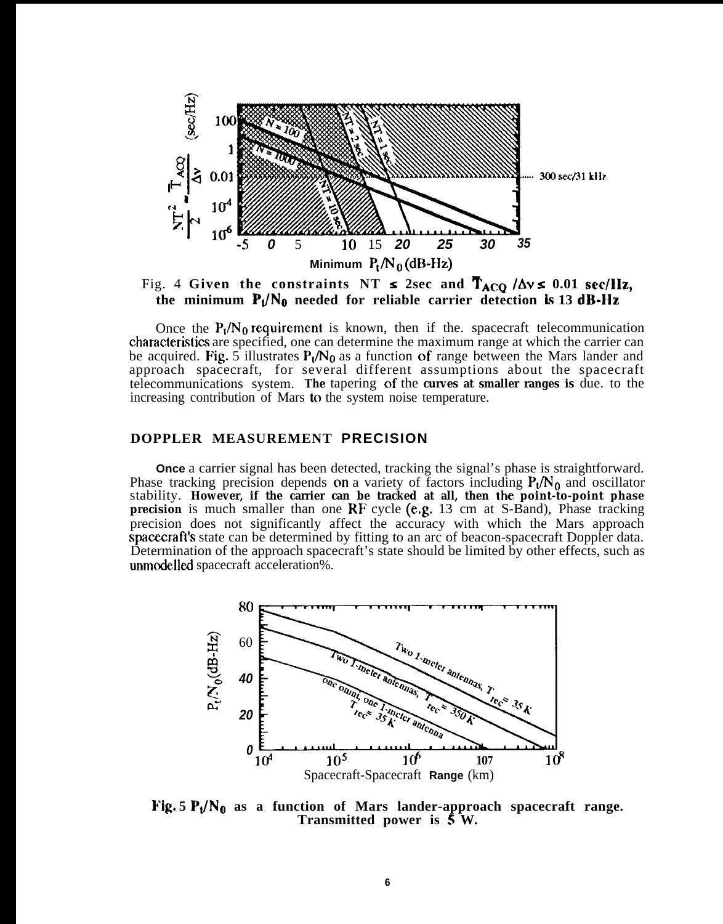

Fig. 4 Given the constraints NT  $\leq$  2sec and  $\mathbf{T}_{ACQ}$  / $\Delta v \leq 0.01$  **sec/llz**, **the minimum**  $P_1/N_0$  **needed for reliable carrier detection is 13 dB-Hz** 

Once the  $P_1/N_0$  requirement is known, then if the. spacecraft telecommunication chamcteristics are specified, one can determine the maximum range at which the carrier can be acquired. Fig. 5 illustrates  $P_1/N_0$  as a function of range between the Mars lander and approach spacecraft, for several different assumptions about the spacecraft telecommunications system. **The** tapering of the **curves at smaller ranges is** due. to the increasing contribution of Mars to the system noise temperature.

#### **DOPPLER MEASUREMENT PRECISION**

**Once** a carrier signal has been detected, tracking the signal's phase is straightforward. Phase tracking precision depends on a variety of factors including  $P_t/N_0$  and oscillator stability. **However, if the carrier can be tracked at all, then the point-to-point phase precision** is much smaller than one RF cycle (e.g. 13 cm at S-Band), Phase tracking precision does not significantly affect the accuracy with which the Mars approach spacecraft's state can be determined by fitting to an arc of beacon-spacecraft Doppler data. Determination of the approach spacecraft's state should be limited by other effects, such as unmodelled spacecraft acceleration%.



Fig.  $5 P_t/N_0$  as a function of Mars lander-approach spacecraft range. **Transmitted power is 5 W.**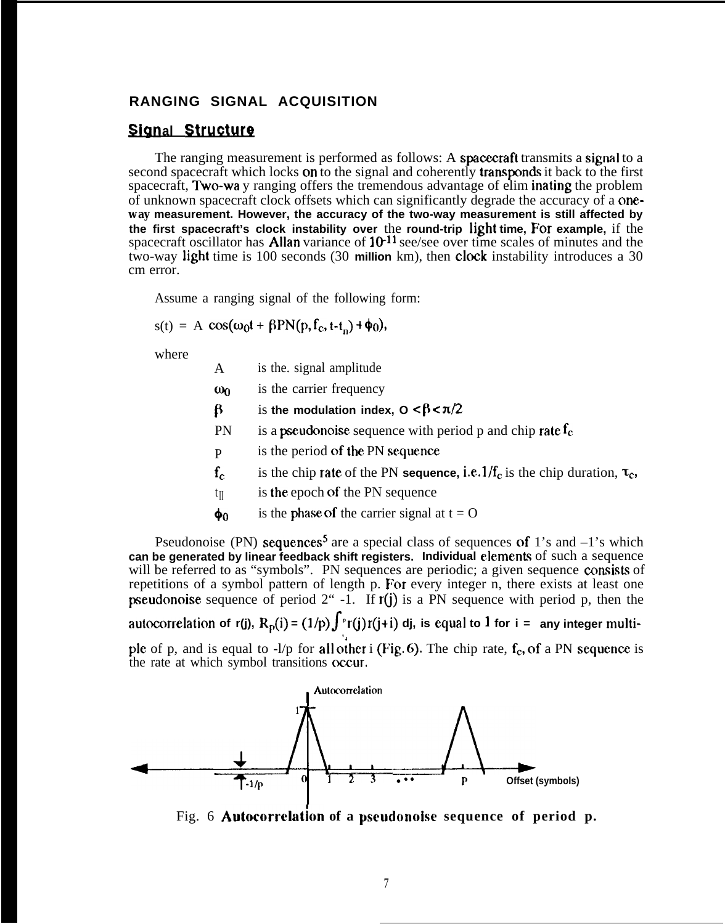# **RANGING SIGNAL ACQUISITION**

# **Signal Structure**

The ranging measurement is performed as follows: A spacecraft transmits a signal to a second spacecraft which locks on to the signal and coherently transponds it back to the first spacecraft, Two-wa y ranging offers the tremendous advantage of elim inating the problem of unknown spacecraft clock offsets which can significantly degrade the accuracy of a one**way measurement. However, the accuracy of the two-way measurement is still affected by the first spacecraft's clock instability over** the **round-trip light time, For example,** if the spacecraft oscillator has **Allan** variance of  $10^{-11}$  see/see over time scales of minutes and the two-way light time is 100 seconds (30 **million** km), then clock instability introduces a 30 cm error.

Assume a ranging signal of the following form:

$$
s(t) = A \cos(\omega_0 t + \beta P N(p, f_c, t - t_n) + \phi_0),
$$

where

| is the. signal amplitude<br>A |
|-------------------------------|
|-------------------------------|

- $\omega_0$  is the carrier frequency
- $\beta$  is the modulation index,  $0 < \beta < \pi/2$
- PN is a **pseudonoise** sequence with period p and chip rate  $f_c$
- P is the period of the PN sequence
- $f_c$  is the chip rate of the PN **sequence**, i.e.  $1/f_c$  is the chip duration,  $\tau_c$ ,
- $t_{\parallel}$  is the epoch of the PN sequence
- $\phi_0$  is the phase of the carrier signal at  $t = 0$

Pseudonoise (PN) sequences<sup>5</sup> are a special class of sequences of 1's and  $-1$ 's which **can be generated by linear feedback shift registers. Individual elements of such a sequence** will be referred to as "symbols". PN sequences are periodic; a given sequence consists of repetitions of a symbol pattern of length p. For every integer n, there exists at least one **pseudonoise** sequence of period  $2^{\omega}$  -1. If  $r(i)$  is a PN sequence with period p, then the

**autocorrelation of r(j),**  $R_p(i) = (1/p) \int^p r(j) r(j+i)$  dj, is equal to 1 for i = any integer multi-**,**

ple of p, and is equal to  $-l/p$  for all other i (Fig. 6). The chip rate,  $f_c$ , of a PN sequence is the rate at which symbol transitions occur.



Fig. 6 **Autocorrelatjon of a pscudonoise sequence of period p.**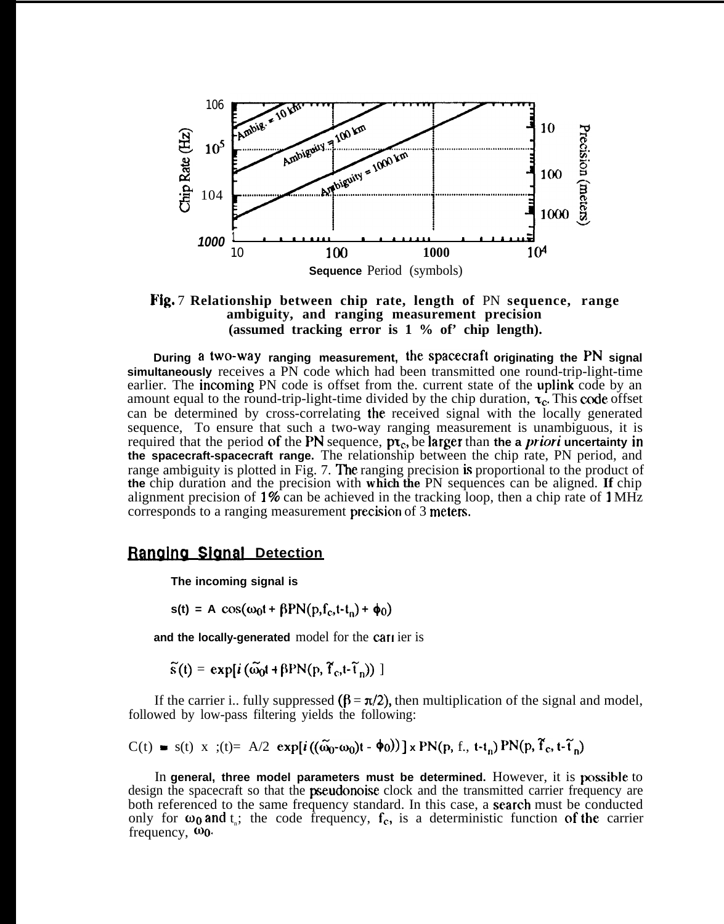

Fig. 7 **Relationship between chip rate, length of** PN **sequence, range ambiguity, and ranging measurement precision (assumed tracking error is 1 % of' chip length).**

**During a two-way ranging measurement, the spacecraft originating the PN signal simultaneously** receives a PN code which had been transmitted one round-trip-light-time earlier. The incoming PN code is offset from the. current state of the uplink code by an amount equal to the round-trip-light-time divided by the chip duration,  $\tau_c$ . This code offset can be determined by cross-correlating the received signal with the locally generated sequence, To ensure that such a two-way ranging measurement is unambiguous, it is required that the period of the PN sequence,  $pr_c$ , be larger than the a *priori* uncertainty in **the spacecraft-spacecraft range.** The relationship between the chip rate, PN period, and range ambiguity is plotted in Fig. 7. The ranging precision is proportional to the product of **the** chip duration and the precision with **which the** PN sequences can be aligned. **If** chip alignment precision of  $1\%$  can be achieved in the tracking loop, then a chip rate of  $1\text{MHz}$ corresponds to a ranging measurement precision of 3 meters.

#### **Ranging Signal Detection**

**The incoming signal is**

 $s(t) = A \cos(\omega_0 t + \beta P N(p, f_c, t-t_0) + \phi_0)$ 

and the locally-generated model for the carrier is

 $\widetilde{s}(t) = \exp[i(\widetilde{\omega}_0 t + \beta P N(p, \widetilde{f}_c, t - \widetilde{t}_n))]$ 

If the carrier i.. fully suppressed  $(\beta = \pi/2)$ , then multiplication of the signal and model, followed by low-pass filtering yields the following:

$$
C(t) = s(t) \times s(t) = A/2 \exp[i((\widetilde{\omega}_0 - \omega_0)t - \phi_0)] \times PN(p, f_0, t - t_n) PN(p, \widetilde{f}_0, t - \widetilde{t}_n)
$$

In general, three model parameters must be determined. However, it is possible to design the spacecraft so that the **pseudonoise** clock and the transmitted carrier frequency are both referenced to the same frequency standard. In this case, a search must be conducted only for  $\omega_0$  and  $t_{n}$ ; the code frequency,  $f_c$ , is a deterministic function of the carrier frequency,  $\omega_0$ .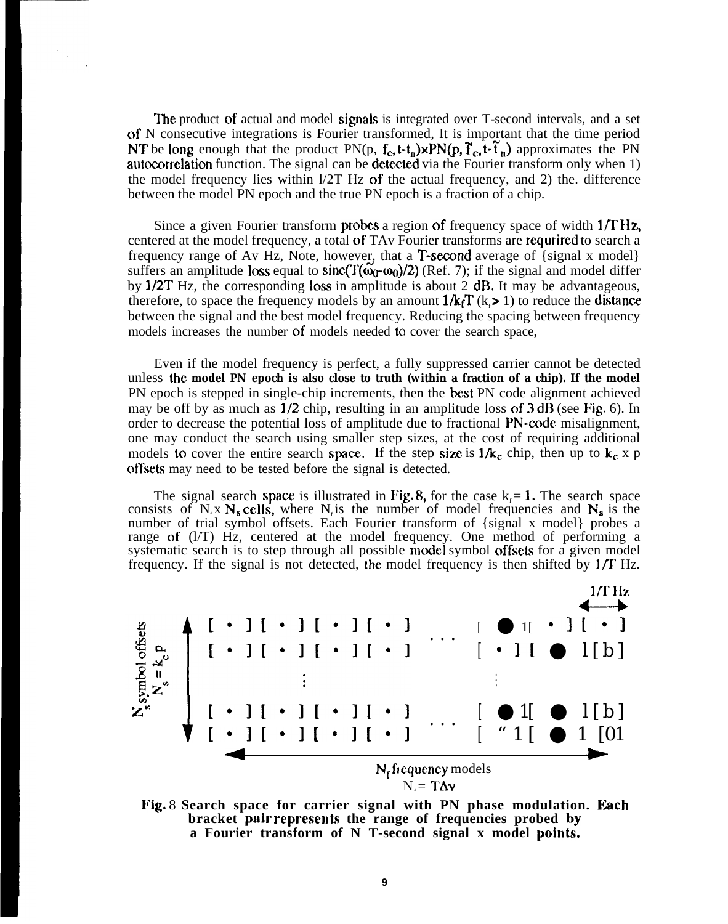The product of actual and model signals is integrated over T-second intervals, and a set of N consecutive integrations is Fourier transformed, It is important that the time period NT be long enough that the product PN(p,  $f_c$ , t- $t_n$ )×PN(p,  $\tilde{f}_c$ , t- $\tilde{t}_n$ ) approximates the PN autocorrelation function. The signal can be detected via the Fourier transform only when 1) the model frequency lies within  $1/2T$  Hz of the actual frequency, and 2) the. difference between the model PN epoch and the true PN epoch is a fraction of a chip.

Since a given Fourier transform **probes** a region of frequency space of width  $1/\Gamma$  Hz, centered at the model frequency, a total of TAv Fourier transforms are requrired to search a frequency range of Av Hz, Note, however, that a **T-second** average of  $\{\text{signal x model}\}\$ suffers an amplitude loss equal to sinc( $T(\omega_0,\omega_0)/2$ ) (Ref. 7); if the signal and model differ by  $1/2T$  Hz, the corresponding loss in amplitude is about 2 dB. It may be advantageous, therefore, to space the frequency models by an amount  $1/k_fT$  ( $k > 1$ ) to reduce the **distance** between the signal and the best model frequency. Reducing the spacing between frequency models increases the number of models needed to cover the search space,

Even if the model frequency is perfect, a fully suppressed carrier cannot be detected unless **the model PN epoch is also close to truth (within a fraction of a chip). If the model** PN epoch is stepped in single-chip increments, then the best PN code alignment achieved may be off by as much as  $1/2$  chip, resulting in an amplitude loss of  $3 dB$  (see Fig. 6). In order to decrease the potential loss of amplitude due to fractional PN-code misalignment, one may conduct the search using smaller step sizes, at the cost of requiring additional models to cover the entire search space. If the step size is  $1/k_c$  chip, then up to  $k_c \times p$ offsets may need to be tested before the signal is detected.

The signal search space is illustrated in Fig. 8, for the case  $k_f = 1$ . The search space consists of N<sub><sub>s</sub></sub> x N<sub>s</sub> cells, where N<sub>i</sub> is the number of model frequencies and N<sub>s</sub> is the number of trial symbol offsets. Each Fourier transform of {signal x model} probes a range of (l/T) Hz, centered at the model frequency. One method of performing a systematic search is to step through all possible model symbol offsets for a given model frequency. If the signal is not detected, the model frequency is then shifted by  $1/\Gamma$  Hz.



Fig. 8 **Search space for carrier signal with PN phase modulation. Each** bracket pair represents the range of frequencies probed by **a Fourier transform of N T-second signal x model points.**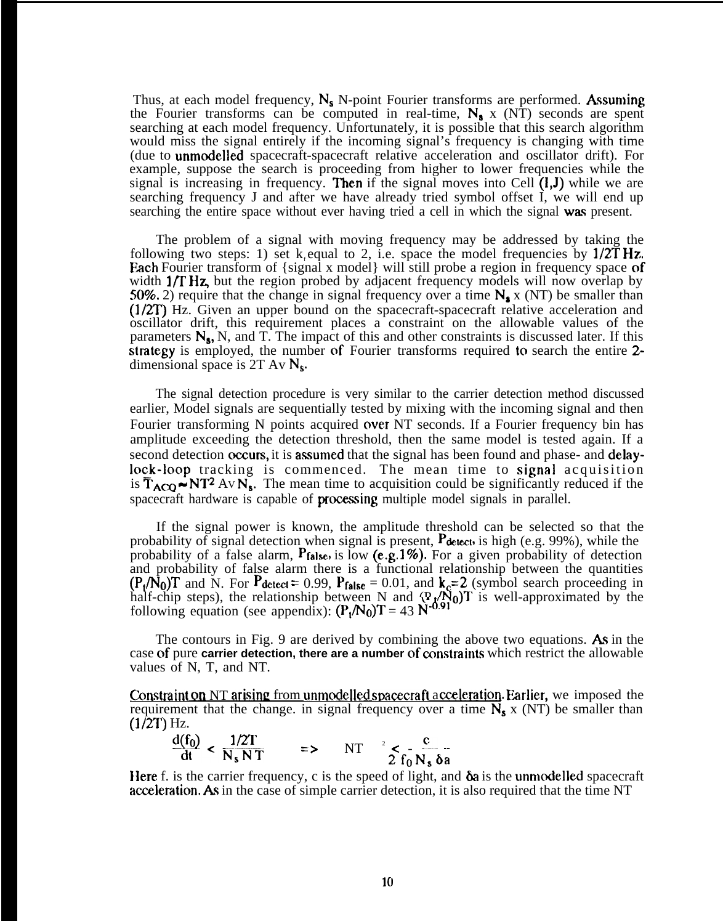Thus, at each model frequency,  $N_s$  N-point Fourier transforms are performed. Assuming the Fourier transforms can be computed in real-time,  $N_a$  x (NT) seconds are spent searching at each model frequency. Unfortunately, it is possible that this search algorithm would miss the signal entirely if the incoming signal's frequency is changing with time (due to unmodelled spacecraft-spacecraft relative acceleration and oscillator drift). For example, suppose the search is proceeding from higher to lower frequencies while the signal is increasing in frequency. Then if the signal moves into Cell  $(l, J)$  while we are searching frequency J and after we have already tried symbol offset I, we will end up searching the entire space without ever having tried a cell in which the signal was present.

The problem of a signal with moving frequency may be addressed by taking the following two steps: 1) set k<sub>f</sub> equal to 2, i.e. space the model frequencies by  $1/2THz$ . Each Fourier transform of {signal x model} will still probe a region in frequency space of width  $1/\Gamma$  Hz, but the region probed by adjacent frequency models will now overlap by 50%. 2) require that the change in signal frequency over a time  $N_a$  x (NT) be smaller than (1/2T) Hz. Given an upper bound on the spacecraft-spacecraft relative acceleration and oscillator drift, this requirement places a constraint on the allowable values of the parameters  $N_s$ , N, and T. The impact of this and other constraints is discussed later. If this strategy is employed, the number of Fourier transforms required to search the entire 2dimensional space is  $2T Av N_s$ .

The signal detection procedure is very similar to the carrier detection method discussed earlier, Model signals are sequentially tested by mixing with the incoming signal and then Fourier transforming N points acquired over NT seconds. If a Fourier frequency bin has amplitude exceeding the detection threshold, then the same model is tested again. If a second detection occurs, it is assumed that the signal has been found and phase- and delaylock-loop tracking is commenced. The mean time to signal acquisition is  $\overline{T}_{ACO}$   $\sim$  NT<sup>2</sup> Av N<sub>s</sub>. The mean time to acquisition could be significantly reduced if the spacecraft hardware is capable of **processing** multiple model signals in parallel.

If the signal power is known, the amplitude threshold can be selected so that the probability of signal detection when signal is present, Pattect, is high (e.g. 99%), while the probability of a false alarm,  $P_{\text{false}}$ , is low (e.g. 1%). For a given probability of detection and probability of false alarm there is a functional relationship between the quantities  $(P_1/N_0)$ T and N. For Pdetect = 0.99, Pfalse = 0.01, and  $k_c=2$  (symbol search proceeding in half-chip steps), the relationship between N and  $(\mathbb{P}_{\ell} / N_0)$  is well-approximated by the following equation (see appendix):  $(P_1/N_0)T = 43 N^{0.91}$ 

The contours in Fig. 9 are derived by combining the above two equations. As in the case of pure **carrier detection, there are a number** of constraints which restrict the allowable values of N, T, and NT.

**Constraint on NT arising** from unmodelled spacecraft acceleration. Earlier, we imposed the requirement that the change. in signal frequency over a time  $N_s$  x (NT) be smaller than  $(1/2T)$  Hz.

$$
\frac{d(f_0)}{dt} < \frac{1/2T}{N_s NT} \qquad \Rightarrow \qquad NT \qquad \frac{1}{2} \leq \frac{c}{f_0 N_s \delta a}
$$

Here f. is the carrier frequency, c is the speed of light, and  $\delta a$  is the unmodelled spacecraft acceleration. As in the case of simple carrier detection, it is also required that the time NT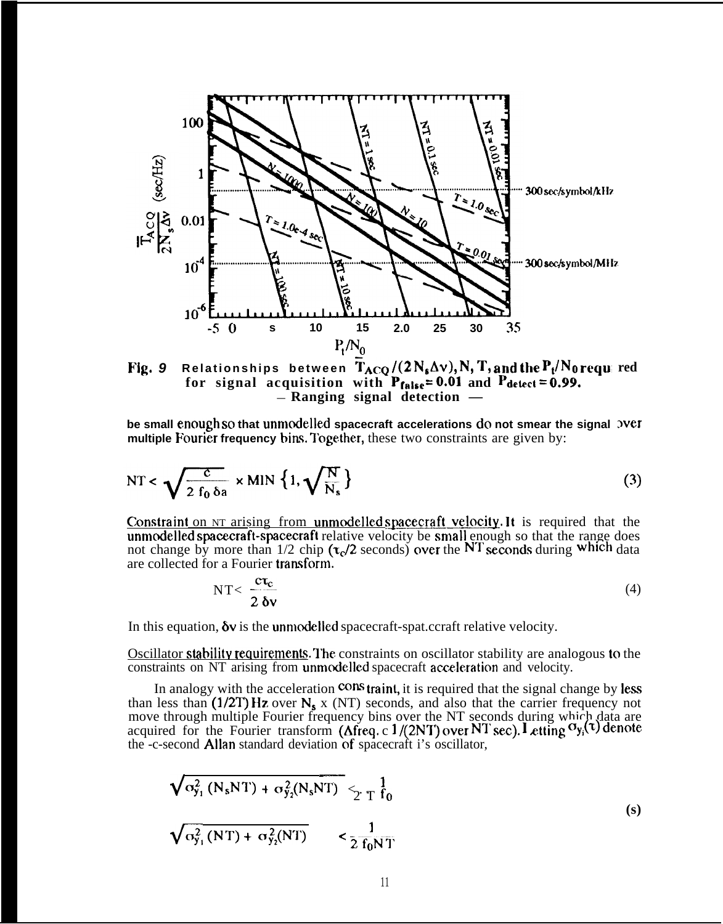

**Fig. 9** <code>Relationships between T $_{\text{ACQ}}$  /(2  $\text{N_s}\Delta\text{v}$ ),  $\text{N, T, and the}$  <code>P</code>  $_{\text{t}}$ / $\text{N_0}$  <code>requ</code> red</code> for signal acquisition with  $P_{\text{false}} = 0.01$  and  $P_{\text{detect}} = 0.99$ . — **Ranging signal detection —**

**be small enough so that unmode]led spacecraft accelerations do not smear the signal over multiple Fourier frequency bins. Together, these two constraints are given by:** 

$$
NT < \sqrt{\frac{c}{2 f_0 \delta a}} \times MIN \{1, \sqrt{\frac{N}{N_s}}\}
$$
 (3)

**Constraint** on NT arising from unmodelled spacecraft velocity. It is required that the unmodelled spacecraft-spacecraft relative velocity be small enough so that the range does not change by more than  $1/2$  chip  $(\tau_c/2$  seconds) over the NT seconds during which data are collected for a Fourier transform.

$$
NT < \frac{ct_c}{2 \, \delta v} \tag{4}
$$

In this equation,  $\delta v$  is the unmodelled spacecraft-spat.ccraft relative velocity.

Oscillator stability requirements. The constraints on oscillator stability are analogous to the constraints on NT arising from unmodelled spacecraft acceleration and velocity.

In analogy with the acceleration  $\cos$  traint, it is required that the signal change by less than less than (1/2T) Hz over  $N_s$  x (NT) seconds, and also that the carrier frequency not move through multiple Fourier frequency bins over the NT seconds during which data are acquired for the Fourier transform ( $\Delta$ freq. c 1/(2NT) over NT sec). Letting  $\sigma_{y_i}(\tau)$  denote the -c-second AlIan standard deviation of spacecraft i's oscillator,

$$
\sqrt{\sigma_{y_1}^2 (N_s NT) + \sigma_{y_2}^2 (N_s NT)}} \leq T \frac{1}{T} \frac{1}{f_0}
$$
\n
$$
\sqrt{\sigma_{y_1}^2 (NT) + \sigma_{y_2}^2 (NT)}} \leq \frac{1}{2 \frac{1}{f_0 NT}}
$$
\n(s)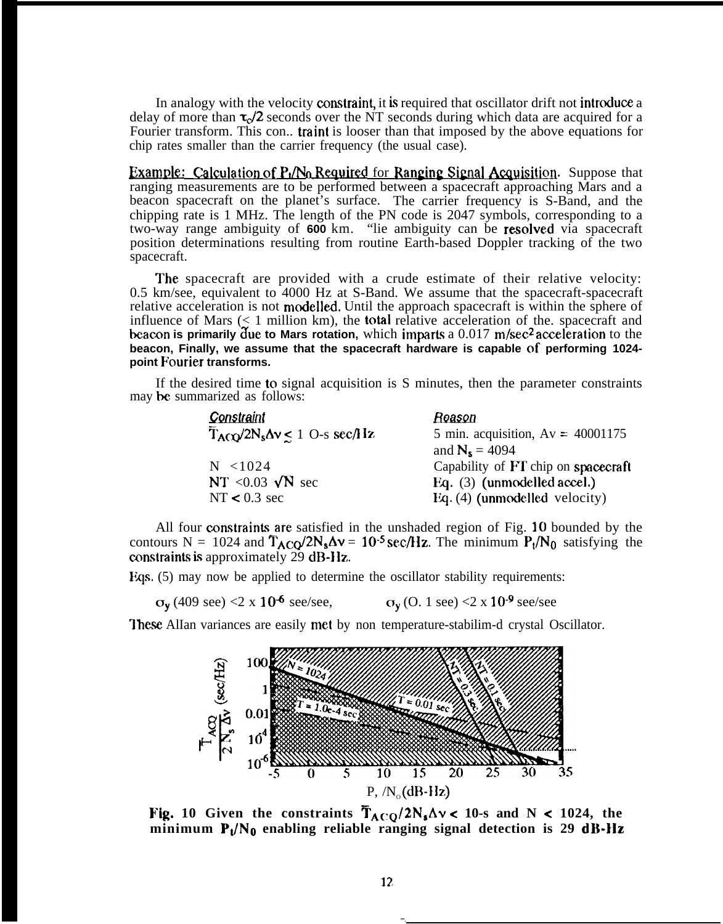In analogy with the velocity constraint, it is required that oscillator drift not introduce a delay of more than  $\tau_{\rm c}/2$  seconds over the NT seconds during which data are acquired for a Fourier transform. This con.. **traint** is looser than that imposed by the above equations for chip rates smaller than the carrier frequency (the usual case). delay of more than  $\tau_c/2$  seconds over the NT seconds during which data are acquired for a<br>Fourier transform. This con.. **traint** is looser than that imposed by the above equations for<br>chip rates smaller than the carrier

ranging measurements are to be performed between a spacecraft approaching Mars and a beacon spacecraft on the planet's surface. The carrier frequency is S-Band, and the chipping rate is 1 MHz. The length of the PN code is 2047 symbols, corresponding to a two-way range ambiguity of **600** km. "lie ambiguity can be **resolved** via spacecraft position determinations resulting from routine Earth-based Doppler tracking of the two spacecraft.

**The** spacecraft are provided with a crude estimate of their relative velocity: 0.5 km/see, equivalent to 4000 Hz at S-Band. We assume that the spacecraft-spacecraft relative acceleration is not modelled. Until the approach spacecraft is within the sphere of influence of Mars  $($  1 million km), the **total** relative acceleration of the. spacecraft and beacon is primarily due to Mars rotation, which imparts a 0.017 m/sec<sup>2</sup> acceleration to the **beacon, Finally, we assume that the spacecraft hardware is capable of performing 1024 point Pourier transforms.**

If the desired time to signal acquisition is S minutes, then the parameter constraints may he summarized as follows:

| Constraint                                          | Reason                              |
|-----------------------------------------------------|-------------------------------------|
| $\overline{T}_{ACO}/2N_s\Delta v \leq 1$ O-s sec/Hz | 5 min. acquisition, $Av = 40001175$ |
|                                                     | and $N_s = 4094$                    |
| $N \le 1024$                                        | Capability of FT chip on spacecraft |
| NT < $0.03 \sqrt{N}$ sec                            | Eq. (3) (unmodelled accel.)         |
| NT $< 0.3$ sec                                      | Eq. (4) (unmodelled velocity)       |

All four constraints are satisfied in the unshaded region of Fig. 10 bounded by the contours N = 1024 and  $\overline{T}_{ACO}/2N_s\Delta v = 10^{-5}$  sec/Hz. The minimum  $P_t/N_0$  satisfying the constraints is approximately  $29$  dB-Ilz.

Eqs.  $(5)$  may now be applied to determine the oscillator stability requirements:

 $\sigma_y$  (409 see) <2 x 10<sup>-6</sup> see/see,  $\sigma_y$  (O. 1 see) <2 x 10<sup>-9</sup> see/see

**These** AlIan variances are easily met by non temperature-stabilim-d crystal Oscillator.



Fig. 10 Given the constraints  $T_{ACQ}/2N_s\Delta v < 10$ -s and N < 1024, the  $m$ inimum  $P_{\nu}/N_0$  enabling reliable ranging signal detection is 29 dB-Hz

— .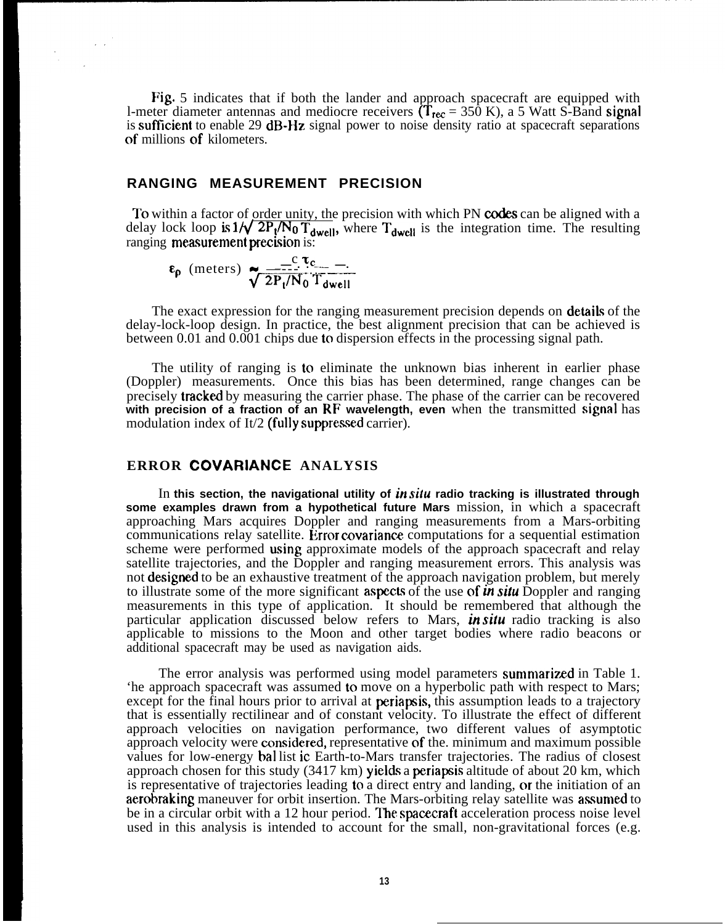Fig. 5 indicates that if both the lander and approach spacecraft are equipped with l-meter diameter antennas and mediocre receivers  $(\mathbf{T}_{\text{rec}} = 350 \text{ K})$ , a 5 Watt S-Band signal is sufficient to enable 29  $\text{dB-Hz}$  signal power to noise density ratio at spacecraft separations of millions of kilometers.

### **RANGING MEASUREMENT PRECISION**

To within a factor of order unity, the precision with which PN codes can be aligned with a delay lock loop is  $1/\sqrt{2P_t/N_0 T_{dwell}}$ , where  $T_{dwell}$  is the integration time. The resulting ranging measurement precision is:

$$
\epsilon_{\rho} \text{ (meters)} \underbrace{\overbrace{\sqrt{2P_t/N_0}}^{C \tau_c} \overline{T_{dwell}}}_{T_{dwell}}
$$

The exact expression for the ranging measurement precision depends on **details** of the delay-lock-loop design. In practice, the best alignment precision that can be achieved is between 0.01 and 0.001 chips due to dispersion effects in the processing signal path.

The utility of ranging is to eliminate the unknown bias inherent in earlier phase (Doppler) measurements. Once this bias has been determined, range changes can be precisely **tracked** by measuring the carrier phase. The phase of the carrier can be recovered **with precision of a fraction of an RF wavelength, even** when the transmitted signal has modulation index of It/2 (fully suppressed carrier).

## **ERROR COVARIANCE ANALYSIS**

In **this section, the navigational utility of in silu radio tracking is illustrated through some examples drawn from a hypothetical future Mars** mission, in which a spacecraft approaching Mars acquires Doppler and ranging measurements from a Mars-orbiting communications relay satellite. Error covariance computations for a sequential estimation scheme were performed using approximate models of the approach spacecraft and relay satellite trajectories, and the Doppler and ranging measurement errors. This analysis was not **designed** to be an exhaustive treatment of the approach navigation problem, but merely to illustrate some of the more significant **aspects** of the use of in *situ* Doppler and ranging measurements in this type of application. It should be remembered that although the particular application discussed below refers to Mars, in *sifu* radio tracking is also applicable to missions to the Moon and other target bodies where radio beacons or additional spacecraft may be used as navigation aids.

The error analysis was performed using model parameters summarized in Table 1. 'he approach spacecraft was assumed to move on a hyperbolic path with respect to Mars; except for the final hours prior to arrival at **periapsis**, this assumption leads to a trajectory that is essentially rectilinear and of constant velocity. To illustrate the effect of different approach velocities on navigation performance, two different values of asymptotic approach velocity were consiclered, representative of the. minimum and maximum possible values for low-energy bal list ic Earth-to-Mars transfer trajectories. The radius of closest approach chosen for this study (3417 km) yields a periapsis altitude of about 20 km, which is representative of trajectories leading to a direct entry and landing, or the initiation of an aerobraking maneuver for orbit insertion. The Mars-orbiting relay satellite was assumed to be in a circular orbit with a 12 hour period. The spacecraft acceleration process noise level used in this analysis is intended to account for the small, non-gravitational forces (e.g.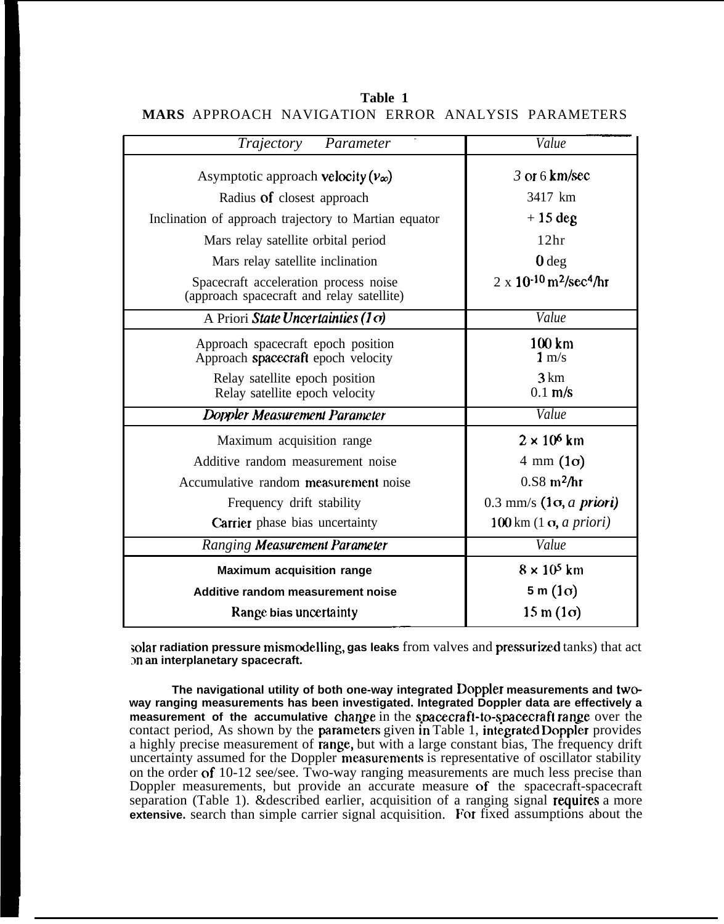| Trajectory<br>Parameter                                                            | Value                                                    |
|------------------------------------------------------------------------------------|----------------------------------------------------------|
| Asymptotic approach velocity $(v_{\infty})$                                        | 3 or 6 km/sec                                            |
| Radius of closest approach                                                         | 3417 km                                                  |
| Inclination of approach trajectory to Martian equator                              | $+15$ deg                                                |
| Mars relay satellite orbital period                                                | 12 <sup>hr</sup>                                         |
| Mars relay satellite inclination                                                   | 0 <sub>deg</sub>                                         |
| Spacecraft acceleration process noise<br>(approach spacecraft and relay satellite) | $2 \times 10^{-10}$ m <sup>2</sup> /sec <sup>4</sup> /hr |
| A Priori State Uncertainties (1 $\sigma$ )                                         | Value                                                    |
| Approach spacecraft epoch position<br>Approach spacecraft epoch velocity           | 100 km<br>$1 \text{ m/s}$                                |
| Relay satellite epoch position<br>Relay satellite epoch velocity                   | 3 km<br>$0.1$ m/s                                        |
| Doppler Measurement Parameter                                                      | Value                                                    |
| Maximum acquisition range                                                          | $2 \times 10^6$ km                                       |
| Additive random measurement noise                                                  | $4 \text{ mm} (1\sigma)$                                 |
| Accumulative random measurement noise                                              | $0.58$ m <sup>2</sup> /hr                                |
| Frequency drift stability                                                          | $0.3$ mm/s $(1\sigma, a \text{ priori})$                 |
| <b>Carrier</b> phase bias uncertainty                                              | $100 \text{ km}$ $(1 \text{ g}, a \text{ priori})$       |
| Ranging Measurement Parameter                                                      | Value                                                    |
| <b>Maximum acquisition range</b>                                                   | $8 \times 10^5$ km                                       |
| Additive random measurement noise                                                  | $5 m (1 \sigma)$                                         |
| Range bias uncertainty                                                             | $15 \text{ m} (1 \text{c})$                              |

**Table 1 MARS** APPROACH NAVIGATION ERROR ANALYSIS PARAMETERS

solar radiation pressure mismodelling, gas leaks from valves and pressurized tanks) that act **m an interplanetary spacecraft.**

**The navigational utility of both one-way integrated Doppler measurements and twoway ranging measurements has been investigated. Integrated Doppler data are effectively a measurement of the accumulative change** in the spacecraft-to-spacecraft range over the contact period, As shown by the parameters given in Table 1, integrated Doppler provides a highly precise measurement of **range**, but with a large constant bias, The frequency drift uncertainty assumed for the Doppler measurements is representative of oscillator stability on the order of 10-12 see/see. Two-way ranging measurements are much less precise than Doppler measurements, but provide an accurate measure of the spacecraft-spacecraft separation (Table 1).  $\&$  described earlier, acquisition of a ranging signal requires a more **extensive.** search than simple carrier signal acquisition. For fixed assumptions about the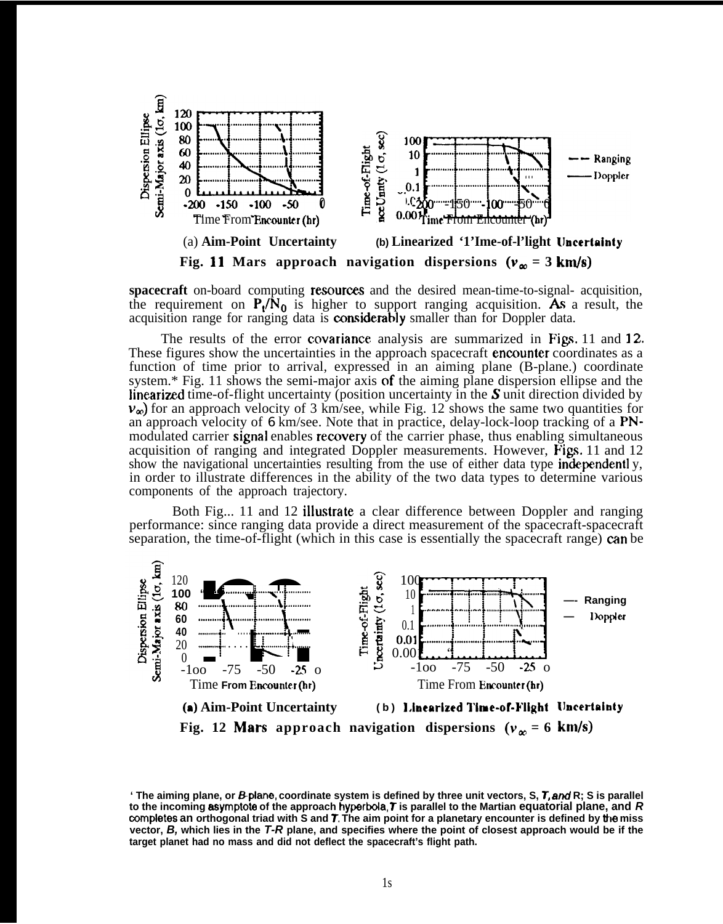

spacecraft on-board computing resources and the desired mean-time-to-signal- acquisition, the requirement on  $P_1/N_0$  is higher to support ranging acquisition. As a result, the acquisition range for ranging data is **considerably** smaller than for Doppler data.

The results of the error covariance analysis are summarized in Figs. 11 and 12. These figures show the uncertainties in the approach spacecraft **encounter** coordinates as a function of time prior to arrival, expressed in an aiming plane (B-plane.) coordinate system.\* Fig. 11 shows the semi-major axis of the aiming plane dispersion ellipse and the linearized time-of-flight uncertainty (position uncertainty in the  $S$  unit direction divided by  $v_{\infty}$ ) for an approach velocity of 3 km/see, while Fig. 12 shows the same two quantities for an approach velocity of  $6 \text{ km/sec}$ . Note that in practice, delay-lock-loop tracking of a PNmodulated carrier signal enables recovery of the carrier phase, thus enabling simultaneous acquisition of ranging and integrated Doppler measurements. However, Figs. 11 and  $12$ show the navigational uncertainties resulting from the use of either data type independently, in order to illustrate differences in the ability of the two data types to determine various components of the approach trajectory.

Both Fig... 11 and 12 illustrate a clear difference between Doppler and ranging performance: since ranging data provide a direct measurement of the spacecraft-spacecraft separation, the time-of-flight (which in this case is essentially the spacecraft range) can be



**<sup>&#</sup>x27; The aiming plane, or Bplane, coordinate system is defined by three unit vectors, S, T, and R; S is parallel to the incoming asymptota of the approach hyperbota, T is parallel to the Martian equatorial plane, and R oompletes an orthogonal triad with S and T, The aim point for a planetary encounter is defined by the miss vector, B, which lies in the T-R plane, and specifies where the point of closest approach would be if the target planet had no mass and did not deflect the spacecraft's flight path.**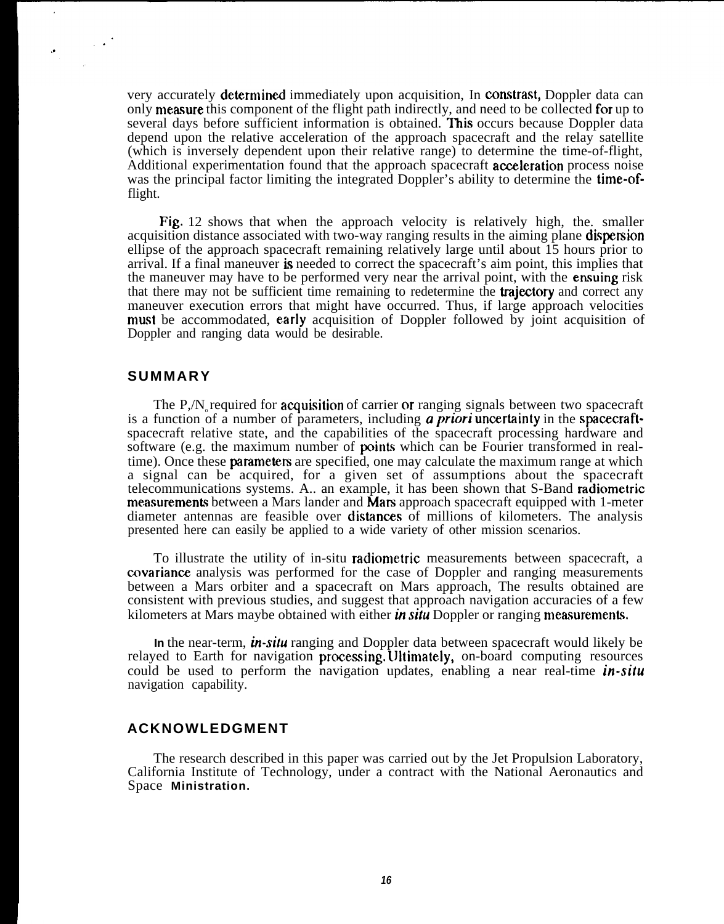very accurately **determined** immediately upon acquisition, In **constrast**, Doppler data can only **measure** this component of the flight path indirectly, and need to be collected for up to several days before sufficient information is obtained. This occurs because Doppler data depend upon the relative acceleration of the approach spacecraft and the relay satellite (which is inversely dependent upon their relative range) to determine the time-of-flight, Additional experimentation found that the approach spacecraft **acceleration** process noise was the principal factor limiting the integrated Doppler's ability to determine the **time-of**flight.

Fig. 12 shows that when the approach velocity is relatively high, the. smaller acquisition distance associated with two-way ranging results in the aiming plane **dispersion** ellipse of the approach spacecraft remaining relatively large until about 15 hours prior to arrival. If a final maneuver is needed to correct the spacecraft's aim point, this implies that the maneuver may have to be performed very near the arrival point, with the **ensuing** risk that there may not be sufficient time remaining to redetermine the **trajectory** and correct any maneuver execution errors that might have occurred. Thus, if large approach velocities must be accommodated, early acquisition of Doppler followed by joint acquisition of Doppler and ranging data would be desirable.

#### **SUMMARY**

 $\frac{1}{2}$  ,  $\frac{1}{2}$ 

The P, $N_{\rm s}$  required for **acquisition** of carrier or ranging signals between two spacecraft is a function of a number of parameters, including a *priori* uncertainty in the spacecraftspacecraft relative state, and the capabilities of the spacecraft processing hardware and software (e.g. the maximum number of **points** which can be Fourier transformed in realtime). Once these **parameters** are specified, one may calculate the maximum range at which a signal can be acquired, for a given set of assumptions about the spacecraft telecommunications systems. A.. an example, it has been shown that S-Band radiometric measurements between a Mars lander and Mars approach spacecraft equipped with 1-meter diameter antennas are feasible over distanes of millions of kilometers. The analysis presented here can easily be applied to a wide variety of other mission scenarios.

To illustrate the utility of in-situ radiometric measurements between spacecraft, a covariance analysis was performed for the case of Doppler and ranging measurements between a Mars orbiter and a spacecraft on Mars approach, The results obtained are consistent with previous studies, and suggest that approach navigation accuracies of a few kilometers at Mars maybe obtained with either **in** *situ* Doppler or ranging **measurements.** 

**In** the near-term, *in-sifu* ranging and Doppler data between spacecraft would likely be relayed to Earth for navigation procesing. LJltimately, on-board computing resources could be used to perform the navigation updates, enabling a near real-time  $\mathbf{in}\text{-}s\mathbf{it}\mathbf{u}$ navigation capability.

### **ACKNOWLEDGMENT**

The research described in this paper was carried out by the Jet Propulsion Laboratory, California Institute of Technology, under a contract with the National Aeronautics and Space **Ministration.**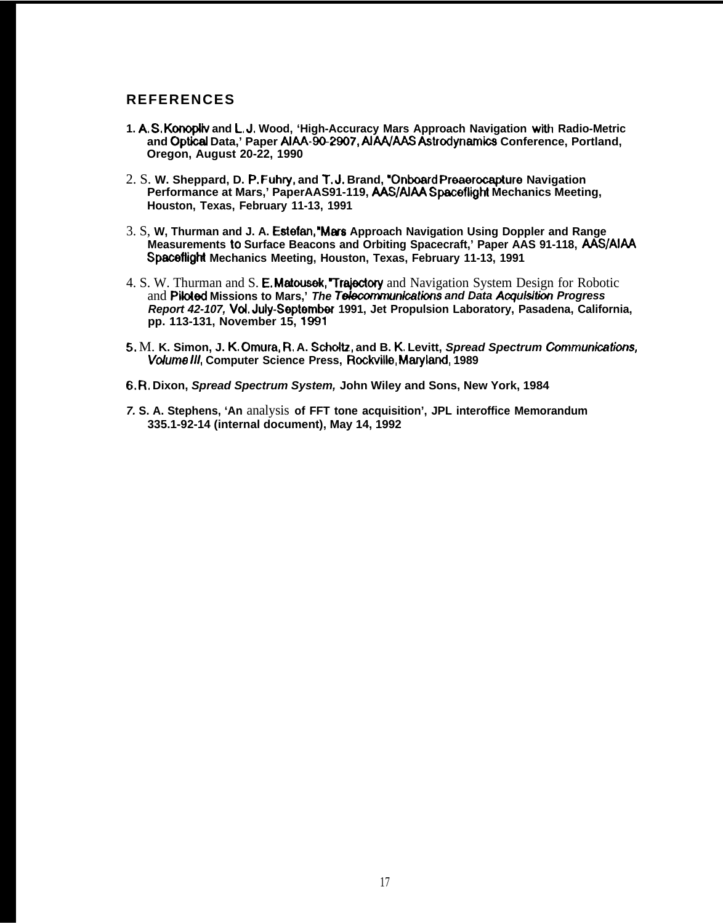## **REFERENCES**

- **1. A, S, Kormpiiv and L, J. Wood, 'High-Accuracy Mars Approach Navigation W-M Radio-Metric and Optkai Data,' Paper AIAA-9@2907, AIAA/AAS Astrodynamics Conference, Portland, Oregon, August 20-22, 1990**
- 2. S. **W. Sheppard, D. P. Fuhry, and T, J, Brand, 'Onboard Preaerocapture Navigation Performance at Mars,' PaperAAS91-119, AAS/AIAA Spacefiight Mechanics Meeting, Houston, Texas, February 11-13, 1991**
- 3. S, **W, Thurman and J. A. Estefan, 'MWS Approach Navigation Using Doppler and Range Measurements to Surface Beacons and Orbiting Spacecraft,' Paper AAS 91-118, AAS/AIAA Spaceftight Mechanics Meeting, Houston, Texas, February 11-13, 1991**
- 4. S. W. Thurman and S. E. Matousek, "Trajectory and Navigation System Design for Robotic and Piloted Missions to Mars,' The Telecommunications and Data Acquisition Progress **Report 42-107, Vd. Juiy-September 1991, Jet Propulsion Laboratory, Pasadena, California, pp. 113-131, November 15,** 1991
- 5, M. **K. Simon, J. K. Omura, R, A. Schdtz, and B. K. Levitt, Spread Spectrum Cornrnunimtions, W/me ///, Computer Science Press, Rockviiie, Maryiand, 1989**
- **6. R, Dixon, Spread Spectrum System, John Wiley and Sons, New York, 1984**
- **7. S. A. Stephens, 'An** analysis **of FFT tone acquisition', JPL interoffice Memorandum 335.1-92-14 (internal document), May 14, 1992**